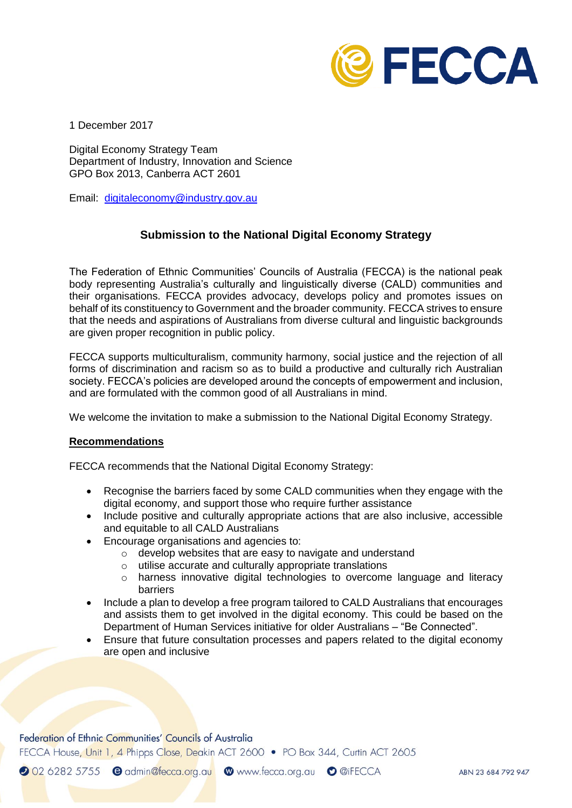

1 December 2017

Digital Economy Strategy Team Department of Industry, Innovation and Science GPO Box 2013, Canberra ACT 2601

Email: [digitaleconomy@industry.gov.au](mailto:digitaleconomy@industry.gov.au)

## **Submission to the National Digital Economy Strategy**

The Federation of Ethnic Communities' Councils of Australia (FECCA) is the national peak body representing Australia's culturally and linguistically diverse (CALD) communities and their organisations. FECCA provides advocacy, develops policy and promotes issues on behalf of its constituency to Government and the broader community. FECCA strives to ensure that the needs and aspirations of Australians from diverse cultural and linguistic backgrounds are given proper recognition in public policy.

FECCA supports multiculturalism, community harmony, social justice and the rejection of all forms of discrimination and racism so as to build a productive and culturally rich Australian society. FECCA's policies are developed around the concepts of empowerment and inclusion, and are formulated with the common good of all Australians in mind.

We welcome the invitation to make a submission to the National Digital Economy Strategy.

## **Recommendations**

FECCA recommends that the National Digital Economy Strategy:

- Recognise the barriers faced by some CALD communities when they engage with the digital economy, and support those who require further assistance
- Include positive and culturally appropriate actions that are also inclusive, accessible and equitable to all CALD Australians
- Encourage organisations and agencies to:
	- o develop websites that are easy to navigate and understand
	- o utilise accurate and culturally appropriate translations
	- o harness innovative digital technologies to overcome language and literacy barriers
- Include a plan to develop a free program tailored to CALD Australians that encourages and assists them to get involved in the digital economy. This could be based on the Department of Human Services initiative for older Australians – "Be Connected".
- Ensure that future consultation processes and papers related to the digital economy are open and inclusive

Federation of Ethnic Communities' Councils of Australia

FECCA House, Unit 1, 4 Phipps Close, Deakin ACT 2600 • PO Box 344, Curtin ACT 2605

2 02 6282 5755 e admin@fecca.org.au @www.fecca.org.au o @iFECCA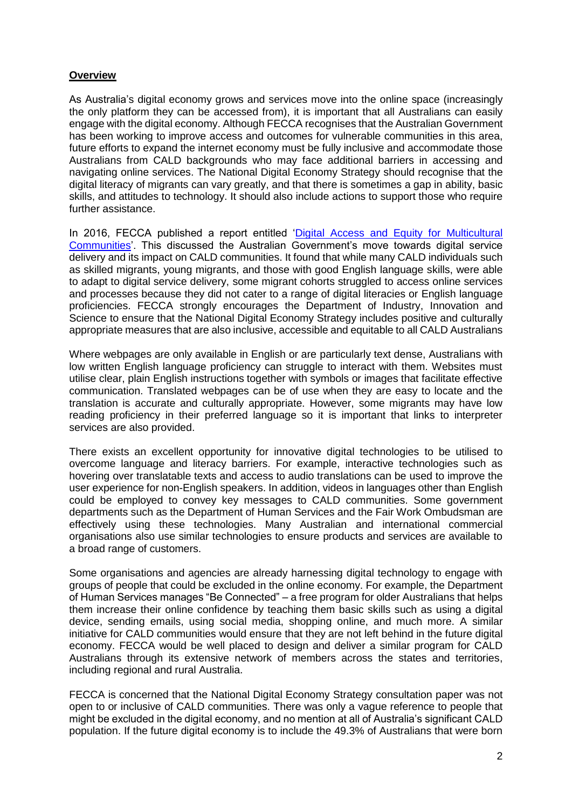## **Overview**

As Australia's digital economy grows and services move into the online space (increasingly the only platform they can be accessed from), it is important that all Australians can easily engage with the digital economy. Although FECCA recognises that the Australian Government has been working to improve access and outcomes for vulnerable communities in this area, future efforts to expand the internet economy must be fully inclusive and accommodate those Australians from CALD backgrounds who may face additional barriers in accessing and navigating online services. The National Digital Economy Strategy should recognise that the digital literacy of migrants can vary greatly, and that there is sometimes a gap in ability, basic skills, and attitudes to technology. It should also include actions to support those who require further assistance.

In 2016, FECCA published a report entitled 'Digital Access and Equity for Multicultural [Communities'](http://fecca.org.au/wp-content/uploads/2017/01/feccadigitalconsultationreport.pdf). This discussed the Australian Government's move towards digital service delivery and its impact on CALD communities. It found that while many CALD individuals such as skilled migrants, young migrants, and those with good English language skills, were able to adapt to digital service delivery, some migrant cohorts struggled to access online services and processes because they did not cater to a range of digital literacies or English language proficiencies. FECCA strongly encourages the Department of Industry, Innovation and Science to ensure that the National Digital Economy Strategy includes positive and culturally appropriate measures that are also inclusive, accessible and equitable to all CALD Australians

Where webpages are only available in English or are particularly text dense, Australians with low written English language proficiency can struggle to interact with them. Websites must utilise clear, plain English instructions together with symbols or images that facilitate effective communication. Translated webpages can be of use when they are easy to locate and the translation is accurate and culturally appropriate. However, some migrants may have low reading proficiency in their preferred language so it is important that links to interpreter services are also provided.

There exists an excellent opportunity for innovative digital technologies to be utilised to overcome language and literacy barriers. For example, interactive technologies such as hovering over translatable texts and access to audio translations can be used to improve the user experience for non-English speakers. In addition, videos in languages other than English could be employed to convey key messages to CALD communities. Some government departments such as the Department of Human Services and the Fair Work Ombudsman are effectively using these technologies. Many Australian and international commercial organisations also use similar technologies to ensure products and services are available to a broad range of customers.

Some organisations and agencies are already harnessing digital technology to engage with groups of people that could be excluded in the online economy. For example, the Department of Human Services manages "Be Connected" – a free program for older Australians that helps them increase their online confidence by teaching them basic skills such as using a digital device, sending emails, using social media, shopping online, and much more. A similar initiative for CALD communities would ensure that they are not left behind in the future digital economy. FECCA would be well placed to design and deliver a similar program for CALD Australians through its extensive network of members across the states and territories, including regional and rural Australia.

FECCA is concerned that the National Digital Economy Strategy consultation paper was not open to or inclusive of CALD communities. There was only a vague reference to people that might be excluded in the digital economy, and no mention at all of Australia's significant CALD population. If the future digital economy is to include the 49.3% of Australians that were born